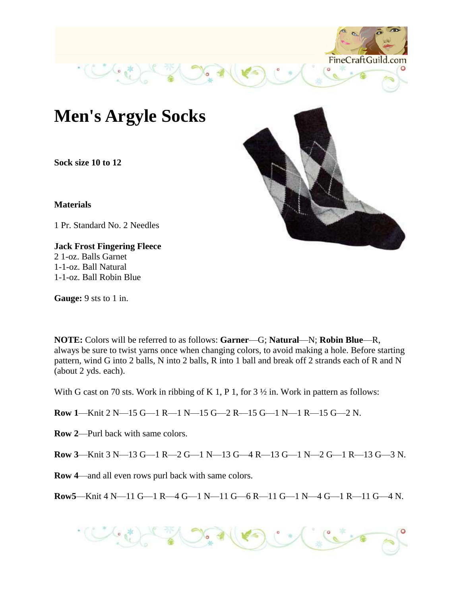

**Sock size 10 to 12**

**Materials** 

1 Pr. Standard No. 2 Needles

**Jack Frost Fingering Fleece** 2 1-oz. Balls Garnet 1-1-oz. Ball Natural 1-1-oz. Ball Robin Blue

**Gauge:** 9 sts to 1 in.



With G cast on 70 sts. Work in ribbing of K 1, P 1, for 3  $\frac{1}{2}$  in. Work in pattern as follows:

**Row 1**—Knit 2 N—15 G—1 R—1 N—15 G—2 R—15 G—1 N—1 R—15 G—2 N.

**Row 2**—Purl back with same colors.

**Row 3**—Knit 3 N—13 G—1 R—2 G—1 N—13 G—4 R—13 G—1 N—2 G—1 R—13 G—3 N.

**Row 4**—and all even rows purl back with same colors.

**Row5**—Knit 4 N—11 G—1 R—4 G—1 N—11 G—6 R—11 G—1 N—4 G—1 R—11 G—4 N.



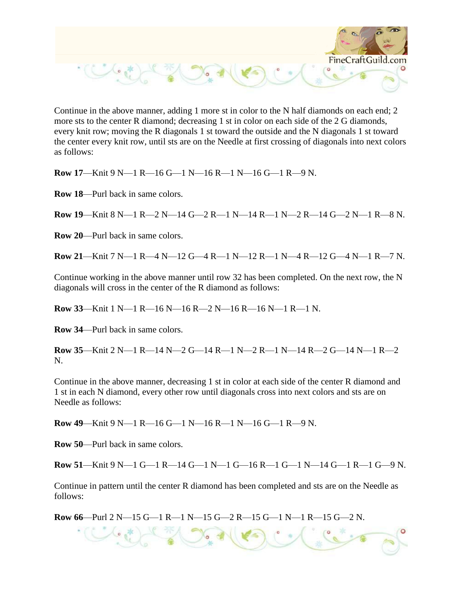

Continue in the above manner, adding 1 more st in color to the N half diamonds on each end; 2 more sts to the center R diamond; decreasing 1 st in color on each side of the 2 G diamonds, every knit row; moving the R diagonals 1 st toward the outside and the N diagonals 1 st toward the center every knit row, until sts are on the Needle at first crossing of diagonals into next colors as follows:

**Row 17**—Knit 9 N—1 R—16 G—1 N—16 R—1 N—16 G—1 R—9 N.

**Row 18**—Purl back in same colors.

**Row 19**—Knit 8 N—1 R—2 N—14 G—2 R—1 N—14 R—1 N—2 R—14 G—2 N—1 R—8 N.

**Row 20**—Purl back in same colors.

**Row 21**—Knit 7 N—1 R—4 N—12 G—4 R—1 N—12 R—1 N—4 R—12 G—4 N—1 R—7 N.

Continue working in the above manner until row 32 has been completed. On the next row, the N diagonals will cross in the center of the R diamond as follows:

**Row 33**—Knit 1 N—1 R—16 N—16 R—2 N—16 R—16 N—1 R—1 N.

**Row 34**—Purl back in same colors.

**Row 35**—Knit 2 N—1 R—14 N—2 G—14 R—1 N—2 R—1 N—14 R—2 G—14 N—1 R—2 N.

Continue in the above manner, decreasing 1 st in color at each side of the center R diamond and 1 st in each N diamond, every other row until diagonals cross into next colors and sts are on Needle as follows:

**Row 49**—Knit 9 N—1 R—16 G—1 N—16 R—1 N—16 G—1 R—9 N.

**Row 50**—Purl back in same colors.

**Row 51**—Knit 9 N—1 G—1 R—14 G—1 N—1 G—16 R—1 G—1 N—14 G—1 R—1 G—9 N.

Continue in pattern until the center R diamond has been completed and sts are on the Needle as follows:

**Row 66**—Purl 2 N—15 G—1 R—1 N—15 G—2 R—15 G—1 N—1 R—15 G—2 N.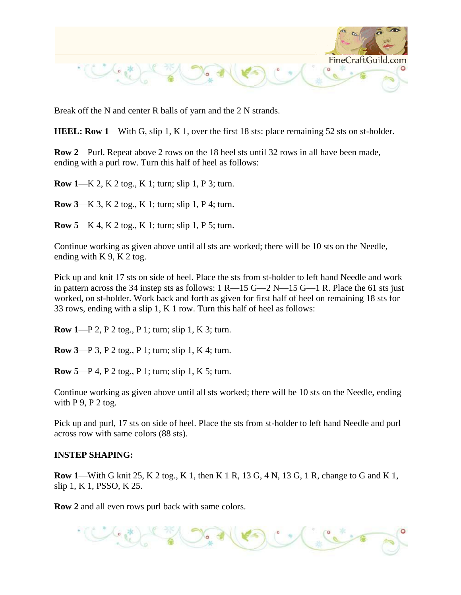

Break off the N and center R balls of yarn and the 2 N strands.

**HEEL: Row 1—With G, slip 1, K 1, over the first 18 sts: place remaining 52 sts on st-holder.** 

**Row 2**—Purl. Repeat above 2 rows on the 18 heel sts until 32 rows in all have been made, ending with a purl row. Turn this half of heel as follows:

**Row 1**—K 2, K 2 tog., K 1; turn; slip 1, P 3; turn.

**Row 3**—K 3, K 2 tog., K 1; turn; slip 1, P 4; turn.

**Row 5**—K 4, K 2 tog., K 1; turn; slip 1, P 5; turn.

Continue working as given above until all sts are worked; there will be 10 sts on the Needle, ending with  $K$  9,  $K$  2 tog.

Pick up and knit 17 sts on side of heel. Place the sts from st-holder to left hand Needle and work in pattern across the 34 instep sts as follows:  $1 R-15 G-2 N-15 G-1 R$ . Place the 61 sts just worked, on st-holder. Work back and forth as given for first half of heel on remaining 18 sts for 33 rows, ending with a slip 1, K 1 row. Turn this half of heel as follows:

**Row 1**—P 2, P 2 tog., P 1; turn; slip 1, K 3; turn.

**Row 3**—P 3, P 2 tog., P 1; turn; slip 1, K 4; turn.

**Row 5**—P 4, P 2 tog., P 1; turn; slip 1, K 5; turn.

Continue working as given above until all sts worked; there will be 10 sts on the Needle, ending with  $P$  9,  $P$  2 tog.

Pick up and purl, 17 sts on side of heel. Place the sts from st-holder to left hand Needle and purl across row with same colors (88 sts).

## **INSTEP SHAPING:**

**Row 1**—With G knit 25, K 2 tog., K 1, then K 1 R, 13 G, 4 N, 13 G, 1 R, change to G and K 1, slip 1, K 1, PSSO, K 25.

**Row 2** and all even rows purl back with same colors.